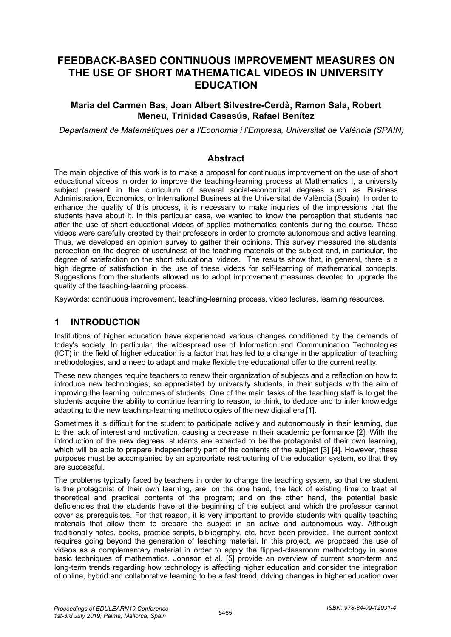# **FEEDBACK-BASED CONTINUOUS IMPROVEMENT MEASURES ON THE USE OF SHORT MATHEMATICAL VIDEOS IN UNIVERSITY EDUCATION**

### **Maria del Carmen Bas, Joan Albert Silvestre-Cerdà, Ramon Sala, Robert Meneu, Trinidad Casasús, Rafael Benítez**

*Departament de Matemàtiques per a l'Economia i l'Empresa, Universitat de València (SPAIN)*

#### **Abstract**

The main objective of this work is to make a proposal for continuous improvement on the use of short educational videos in order to improve the teaching-learning process at Mathematics I, a university subject present in the curriculum of several social-economical degrees such as Business Administration, Economics, or International Business at the Universitat de València (Spain). In order to enhance the quality of this process, it is necessary to make inquiries of the impressions that the students have about it. In this particular case, we wanted to know the perception that students had after the use of short educational videos of applied mathematics contents during the course. These videos were carefully created by their professors in order to promote autonomous and active learning. Thus, we developed an opinion survey to gather their opinions. This survey measured the students' perception on the degree of usefulness of the teaching materials of the subject and, in particular, the degree of satisfaction on the short educational videos. The results show that, in general, there is a high degree of satisfaction in the use of these videos for self-learning of mathematical concepts. Suggestions from the students allowed us to adopt improvement measures devoted to upgrade the quality of the teaching-learning process.

Keywords: continuous improvement, teaching-learning process, video lectures, learning resources.

### **1 INTRODUCTION**

Institutions of higher education have experienced various changes conditioned by the demands of today's society. In particular, the widespread use of Information and Communication Technologies (ICT) in the field of higher education is a factor that has led to a change in the application of teaching methodologies, and a need to adapt and make flexible the educational offer to the current reality.

These new changes require teachers to renew their organization of subjects and a reflection on how to introduce new technologies, so appreciated by university students, in their subjects with the aim of improving the learning outcomes of students. One of the main tasks of the teaching staff is to get the students acquire the ability to continue learning to reason, to think, to deduce and to infer knowledge adapting to the new teaching-learning methodologies of the new digital era [1].

Sometimes it is difficult for the student to participate actively and autonomously in their learning, due to the lack of interest and motivation, causing a decrease in their academic performance [2]. With the introduction of the new degrees, students are expected to be the protagonist of their own learning, which will be able to prepare independently part of the contents of the subject [3] [4]. However, these purposes must be accompanied by an appropriate restructuring of the education system, so that they are successful.

The problems typically faced by teachers in order to change the teaching system, so that the student is the protagonist of their own learning, are, on the one hand, the lack of existing time to treat all theoretical and practical contents of the program; and on the other hand, the potential basic deficiencies that the students have at the beginning of the subject and which the professor cannot cover as prerequisites. For that reason, it is very important to provide students with quality teaching materials that allow them to prepare the subject in an active and autonomous way. Although traditionally notes, books, practice scripts, bibliography, etc. have been provided. The current context requires going beyond the generation of teaching material. In this project, we proposed the use of videos as a complementary material in order to apply the flipped-classroom methodology in some basic techniques of mathematics. Johnson et al. [5] provide an overview of current short-term and long-term trends regarding how technology is affecting higher education and consider the integration of online, hybrid and collaborative learning to be a fast trend, driving changes in higher education over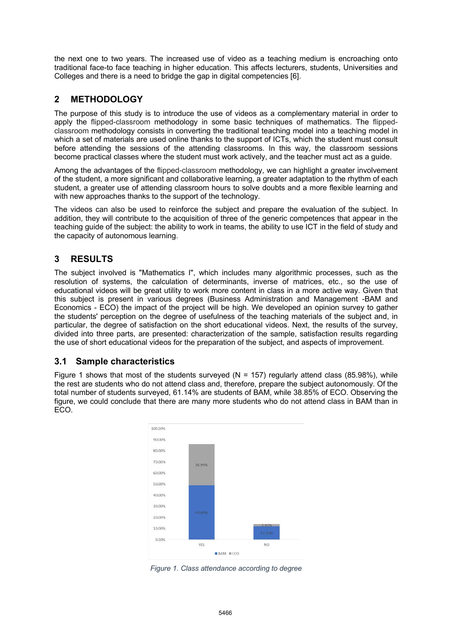the next one to two years. The increased use of video as a teaching medium is encroaching onto traditional face-to face teaching in higher education. This affects lecturers, students, Universities and Colleges and there is a need to bridge the gap in digital competencies [6].

# **2 METHODOLOGY**

The purpose of this study is to introduce the use of videos as a complementary material in order to apply the flipped-classroom methodology in some basic techniques of mathematics. The flippedclassroom methodology consists in converting the traditional teaching model into a teaching model in which a set of materials are used online thanks to the support of ICTs, which the student must consult before attending the sessions of the attending classrooms. In this way, the classroom sessions become practical classes where the student must work actively, and the teacher must act as a guide.

Among the advantages of the flipped-classroom methodology, we can highlight a greater involvement of the student, a more significant and collaborative learning, a greater adaptation to the rhythm of each student, a greater use of attending classroom hours to solve doubts and a more flexible learning and with new approaches thanks to the support of the technology.

The videos can also be used to reinforce the subject and prepare the evaluation of the subject. In addition, they will contribute to the acquisition of three of the generic competences that appear in the teaching guide of the subject: the ability to work in teams, the ability to use ICT in the field of study and the capacity of autonomous learning.

# **3 RESULTS**

The subject involved is "Mathematics I", which includes many algorithmic processes, such as the resolution of systems, the calculation of determinants, inverse of matrices, etc., so the use of educational videos will be great utility to work more content in class in a more active way. Given that this subject is present in various degrees (Business Administration and Management -BAM and Economics - ECO) the impact of the project will be high. We developed an opinion survey to gather the students' perception on the degree of usefulness of the teaching materials of the subject and, in particular, the degree of satisfaction on the short educational videos. Next, the results of the survey, divided into three parts, are presented: characterization of the sample, satisfaction results regarding the use of short educational videos for the preparation of the subject, and aspects of improvement.

# **3.1 Sample characteristics**

Figure 1 shows that most of the students surveyed ( $N = 157$ ) regularly attend class (85.98%), while the rest are students who do not attend class and, therefore, prepare the subject autonomously. Of the total number of students surveyed, 61.14% are students of BAM, while 38.85% of ECO. Observing the figure, we could conclude that there are many more students who do not attend class in BAM than in ECO.



*Figure 1. Class attendance according to degree*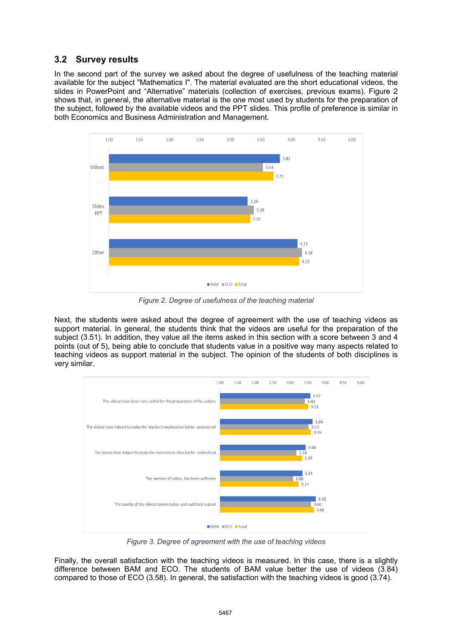### **3.2 Survey results**

In the second part of the survey we asked about the degree of usefulness of the teaching material available for the subject "Mathematics I". The material evaluated are the short educational videos, the slides in PowerPoint and "Alternative" materials (collection of exercises, previous exams). Figure 2 shows that, in general, the alternative material is the one most used by students for the preparation of the subject, followed by the available videos and the PPT slides. This profile of preference is similar in both Economics and Business Administration and Management.



*Figure 2. Degree of usefulness of the teaching material*

Next, the students were asked about the degree of agreement with the use of teaching videos as support material. In general, the students think that the videos are useful for the preparation of the subject (3.51). In addition, they value all the items asked in this section with a score between 3 and 4 points (out of 5), being able to conclude that students value in a positive way many aspects related to teaching videos as support material in the subject. The opinion of the students of both disciplines is very similar.



*Figure 3. Degree of agreement with the use of teaching videos*

Finally, the overall satisfaction with the teaching videos is measured. In this case, there is a slightly difference between BAM and ECO. The students of BAM value better the use of videos (3.84) compared to those of ECO (3.58). In general, the satisfaction with the teaching videos is good (3.74).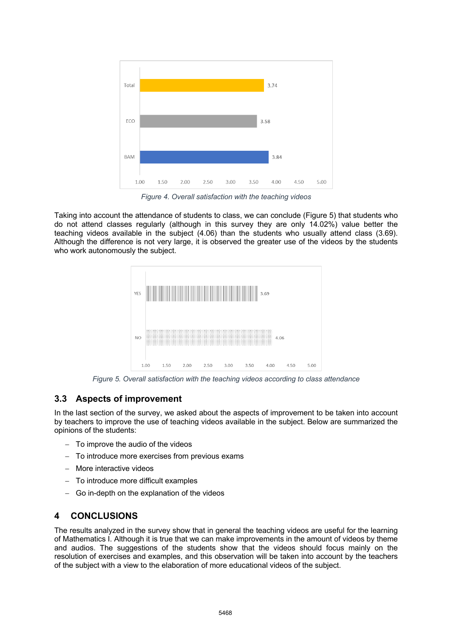

*Figure 4. Overall satisfaction with the teaching videos*

Taking into account the attendance of students to class, we can conclude (Figure 5) that students who do not attend classes regularly (although in this survey they are only 14.02%) value better the teaching videos available in the subject (4.06) than the students who usually attend class (3.69). Although the difference is not very large, it is observed the greater use of the videos by the students who work autonomously the subject.



*Figure 5. Overall satisfaction with the teaching videos according to class attendance*

#### **3.3 Aspects of improvement**

In the last section of the survey, we asked about the aspects of improvement to be taken into account by teachers to improve the use of teaching videos available in the subject. Below are summarized the opinions of the students:

- To improve the audio of the videos
- To introduce more exercises from previous exams
- More interactive videos
- To introduce more difficult examples
- Go in-depth on the explanation of the videos

## **4 CONCLUSIONS**

The results analyzed in the survey show that in general the teaching videos are useful for the learning of Mathematics I. Although it is true that we can make improvements in the amount of videos by theme and audios. The suggestions of the students show that the videos should focus mainly on the resolution of exercises and examples, and this observation will be taken into account by the teachers of the subject with a view to the elaboration of more educational videos of the subject.